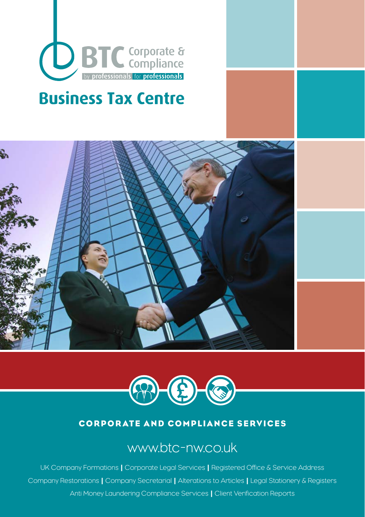

# **Business Tax Centre**





#### CORPORATE AND COMPLIANCE SERVICES

## www.btc-nw.co.uk

UK Company Formations | Corporate Legal Services | Registered Office & Service Address Company Restorations | Company Secretarial | Alterations to Articles | Legal Stationery & Registers Anti Money Laundering Compliance Services | Client Verification Reports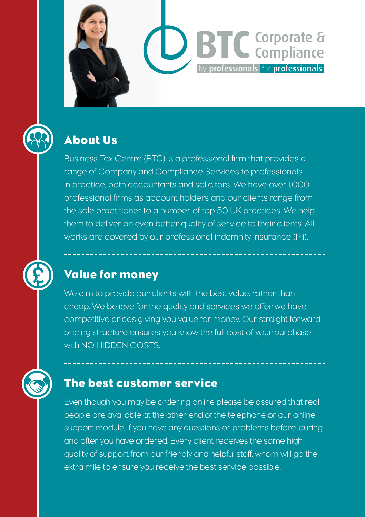

## About Us

Business Tax Centre (BTC) is a professional firm that provides a range of Company and Compliance Services to professionals in practice, both accountants and solicitors. We have over 1,000 professional firms as account holders and our clients range from the sole practitioner to a number of top 50 UK practices. We help them to deliver an even better quality of service to their clients. All works are covered by our professional indemnity insurance (Pii).

**D** BTC Corporate &

by professionals for professionals

## Value for money

We aim to provide our clients with the best value, rather than cheap. We believe for the quality and services we offer we have competitive prices giving you value for money. Our straight forward pricing structure ensures you know the full cost of your purchase with NO HIDDEN COSTS.

## The best customer service

Even though you may be ordering online please be assured that real people are available at the other end of the telephone or our online support module, if you have any questions or problems before, during and after you have ordered. Every client receives the same high quality of support from our friendly and helpful staff, whom will go the extra mile to ensure you receive the best service possible.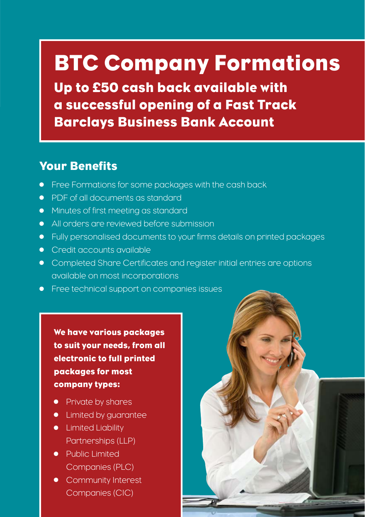# BTC Company Formations

Up to £50 cash back available with a successful opening of a Fast Track Barclays Business Bank Account

## Your Benefits

- Free Formations for some packages with the cash back
- **PDF of all documents as standard,**
- **•** Minutes of first meeting as standard
- All orders are reviewed before submission
- Fully personalised documents to your firms details on printed packages
- **•** Credit accounts available
- Completed Share Certificates and register initial entries are options available on most incorporations
- **•** Free technical support on companies issues

We have various packages to suit your needs, from all electronic to full printed packages for most company types:

- Private by shares
- Limited by guarantee
- **•** Limited Liability Partnerships (LLP)
- Public Limited Companies (PLC)
- Community Interest Companies (CIC)

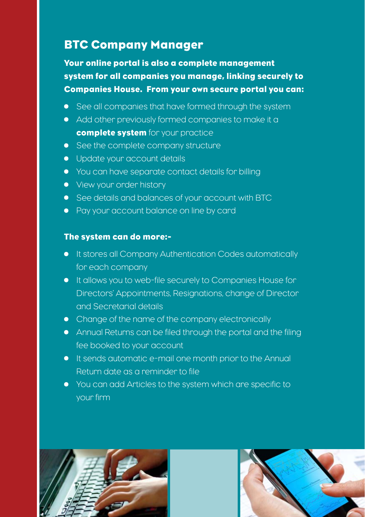## BTC Company Manager

Your online portal is also a complete management system for all companies you manage, linking securely to Companies House. From your own secure portal you can:

- See all companies that have formed through the system
- Add other previously formed companies to make it a complete system for your practice
- See the complete company structure
- **•** Update your account details
- You can have separate contact details for billing
- View your order history
- See details and balances of your account with BTC
- Pay your account balance on line by card

#### The system can do more:-

- **•** It stores all Company Authentication Codes automatically for each company
- It allows you to web-file securely to Companies House for Directors' Appointments, Resignations, change of Director and Secretarial details
- Change of the name of the company electronically
- Annual Returns can be filed through the portal and the filing fee booked to your account
- It sends automatic e-mail one month prior to the Annual Return date as a reminder to file
- You can add Articles to the system which are specific to your firm



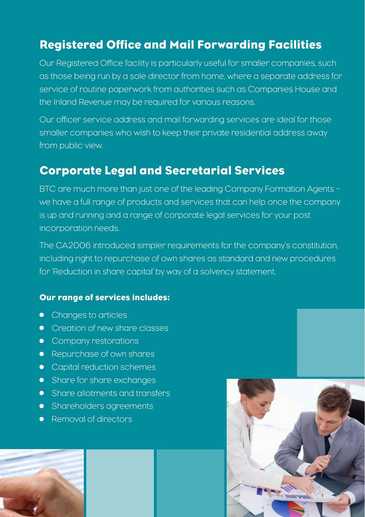## Registered Office and Mail Forwarding Facilities

Our Registered Office facility is particularly useful for smaller companies, such as those being run by a sole director from home, where a separate address for service of routine paperwork from authorities such as Companies House and the Inland Revenue may be required for various reasons.

Our officer service address and mail forwarding services are ideal for those smaller companies who wish to keep their private residential address away from public view.

## Corporate Legal and Secretarial Services

BTC are much more than just one of the leading Company Formation Agents – we have a full range of products and services that can help once the company is up and running and a range of corporate legal services for your post incorporation needs.

The CA2006 introduced simpler requirements for the company's constitution, including right to repurchase of own shares as standard and new procedures for 'Reduction in share capital' by way of a solvency statement.

#### Our range of services includes:

- Changes to articles
- Creation of new share classes
- Company restorations
- Repurchase of own shares
- Capital reduction schemes
- Share for share exchanges
- Share allotments and transfers
- **•** Shareholders agreements
- Removal of directors



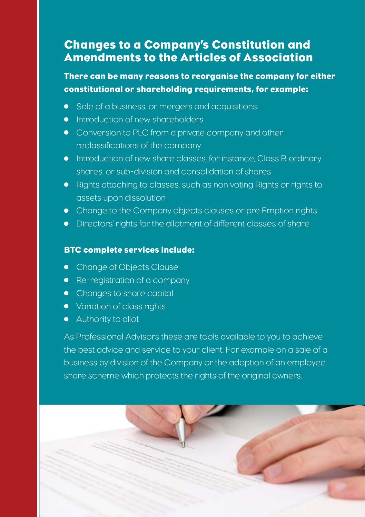## Changes to a Company's Constitution and Amendments to the Articles of Association

#### There can be many reasons to reorganise the company for either constitutional or shareholding requirements, for example:

- Sale of a business, or mergers and acquisitions.
- **•** Introduction of new shareholders
- Conversion to PLC from a private company and other reclassifications of the company
- Introduction of new share classes, for instance, Class B ordinary shares, or sub-division and consolidation of shares
- Rights attaching to classes, such as non voting Rights or rights to assets upon dissolution
- Change to the Company objects clauses or pre Emption rights
- Directors' rights for the allotment of different classes of share

#### BTC complete services include:

- Change of Objects Clause
- Re-registration of a company
- Changes to share capital
- Variation of class rights
- Authority to allot

As Professional Advisors these are tools available to you to achieve the best advice and service to your client. For example on a sale of a business by division of the Company or the adoption of an employee share scheme which protects the rights of the original owners.

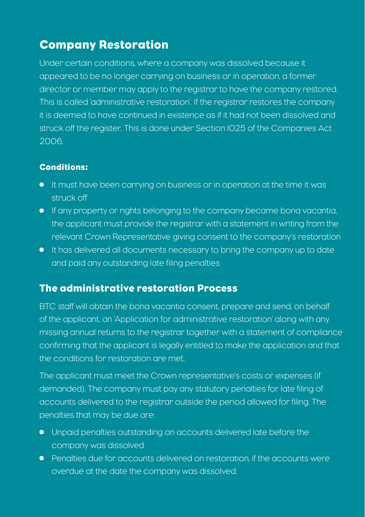## Company Restoration

Under certain conditions, where a company was dissolved because it appeared to be no longer carrying on business or in operation, a former director or member may apply to the registrar to have the company restored. This is called 'administrative restoration'. If the registrar restores the company it is deemed to have continued in existence as if it had not been dissolved and struck off the register. This is done under Section 1025 of the Companies Act 2006.

#### Conditions:

- It must have been carrying on business or in operation at the time it was struck off
- If any property or rights belonging to the company became bona vacantia, the applicant must provide the registrar with a statement in writing from the relevant Crown Representative giving consent to the company's restoration
- It has delivered all documents necessary to bring the company up to date and paid any outstanding late filing penalties

#### The administrative restoration Process

BTC staff will obtain the bona vacantia consent, prepare and send, on behalf of the applicant, an 'Application for administrative restoration' along with any missing annual returns to the registrar together with a statement of compliance confirming that the applicant is legally entitled to make the application and that the conditions for restoration are met.

The applicant must meet the Crown representative's costs or expenses (if demanded). The company must pay any statutory penalties for late filing of accounts delivered to the registrar outside the period allowed for filing. The penalties that may be due are:

- Unpaid penalties outstanding on accounts delivered late before the company was dissolved
- Penalties due for accounts delivered on restoration, if the accounts were overdue at the date the company was dissolved.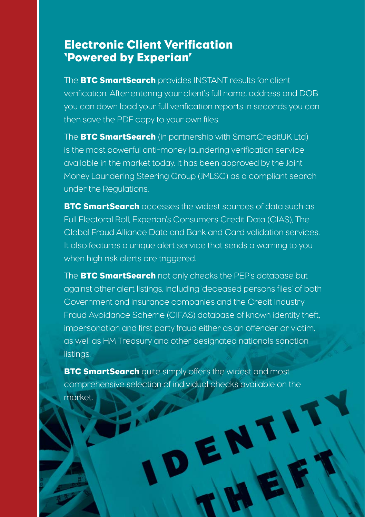## Electronic Client Verification 'Powered by Experian'

The **BTC SmartSearch** provides INSTANT results for client verification. After entering your client's full name, address and DOB you can down load your full verification reports in seconds you can then save the PDF copy to your own files.

The **BTC SmartSearch** (in partnership with SmartCreditUK Ltd) is the most powerful anti-money laundering verification service available in the market today. It has been approved by the Joint Money Laundering Steering Group (JMLSG) as a compliant search under the Regulations.

BTC SmartSearch accesses the widest sources of data such as Full Electoral Roll, Experian's Consumers Credit Data (CIAS), The Global Fraud Alliance Data and Bank and Card validation services. It also features a unique alert service that sends a warning to you when high risk alerts are triggered.

The **BTC SmartSearch** not only checks the PEP's database but against other alert listings, including 'deceased persons files' of both Government and insurance companies and the Credit Industry Fraud Avoidance Scheme (CIFAS) database of known identity theft, impersonation and first party fraud either as an offender or victim, as well as HM Treasury and other designated nationals sanction listings.

**BTC SmartSearch** quite simply offers the widest and most comprehensive selection of individual checks available on the market.

DENT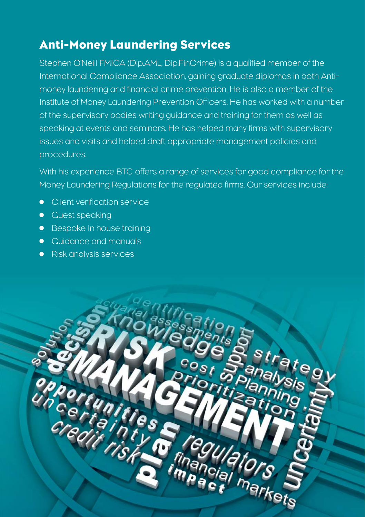## Anti-Money Laundering Services

Stephen O'Neill FMICA (Dip.AML, Dip.FinCrime) is a qualified member of the International Compliance Association, gaining graduate diplomas in both Antimoney laundering and financial crime prevention. He is also a member of the Institute of Money Laundering Prevention Officers. He has worked with a number of the supervisory bodies writing guidance and training for them as well as speaking at events and seminars. He has helped many firms with supervisory issues and visits and helped draft appropriate management policies and procedures.

With his experience BTC offers a range of services for good compliance for the Money Laundering Regulations for the regulated firms. Our services include:

- **•** Client verification service
- **•** Guest speaking
- **•** Bespoke In house training
- Cuidance and manuals
- **•** Risk analysis services

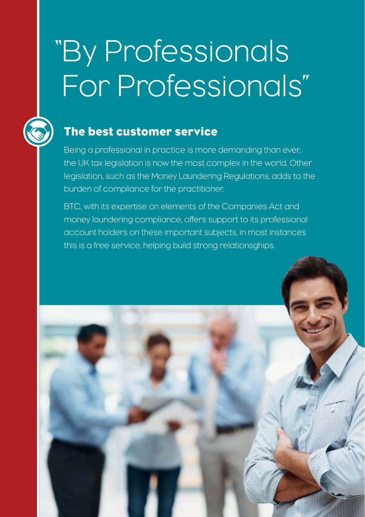# "By Professionals For Professionals"



## The best customer service

Being a professional in practice is more demanding than ever, the UK tax legislation is now the most complex in the world. Other legislation, such as the Money Laundering Regulations, adds to the burden of compliance for the practitioner.

BTC, with its expertise on elements of the Companies Act and money laundering compliance, offers support to its professional account holders on these important subjects, in most instances this is a free service, helping build strong relationsghips.

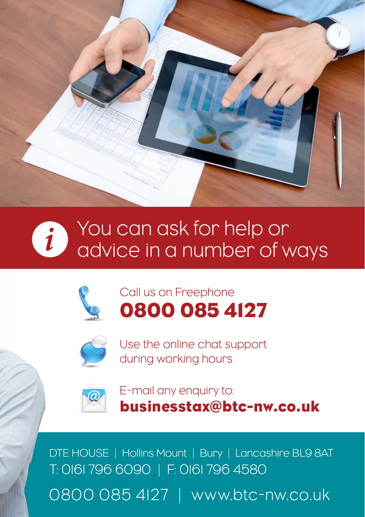





## Call us on Freephone 0800 085 4127



Use the online chat support during working hours



E-mail any enquiry to: businesstax@btc-nw.co.uk

DTE HOUSE | Hollins Mount | Bury | Lancashire BL9 8AT T: 0161 796 6090 | F: 0161 796 4580 0800 085 4127 | www.btc-nw.co.uk